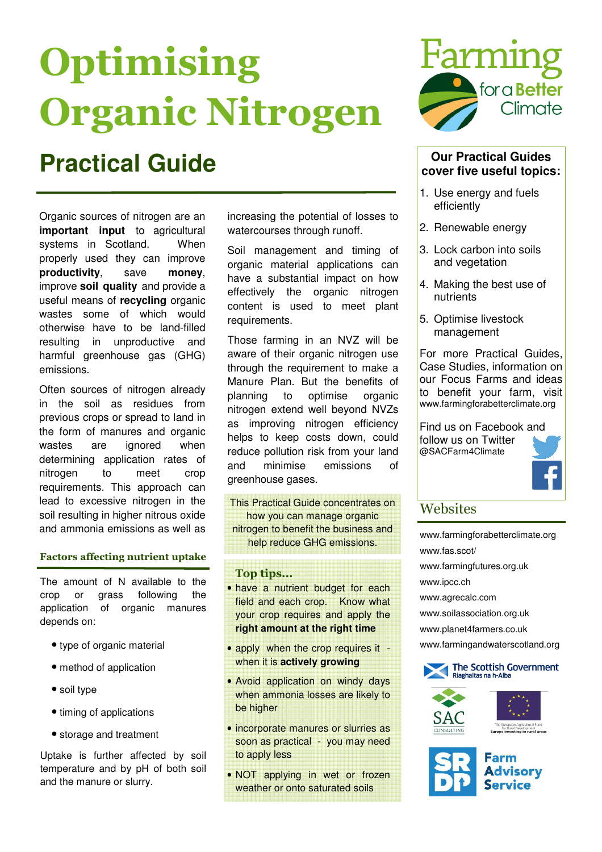# **Optimising** Organic Nitrogen

## **Practical Guide Our Practical Guides**

Organic sources of nitrogen are an **important input** to agricultural systems in Scotland. When properly used they can improve **productivity**, save **money**, improve **soil quality** and provide a useful means of **recycling** organic wastes some of which would otherwise have to be land-filled resulting in unproductive and harmful greenhouse gas (GHG) emissions.

Often sources of nitrogen already in the soil as residues from previous crops or spread to land in the form of manures and organic wastes are ignored when determining application rates of nitrogen to meet crop requirements. This approach can lead to excessive nitrogen in the soil resulting in higher nitrous oxide and ammonia emissions as well as

#### Factors affecting nutrient uptake

The amount of N available to the crop or grass following the application of organic manures depends on:

- type of organic material
- method of application
- soil type
- timing of applications
- storage and treatment

Uptake is further affected by soil temperature and by pH of both soil and the manure or slurry.

increasing the potential of losses to watercourses through runoff.

Soil management and timing of organic material applications can have a substantial impact on how effectively the organic nitrogen content is used to meet plant requirements.

Those farming in an NVZ will be aware of their organic nitrogen use through the requirement to make a Manure Plan. But the benefits of planning to optimise organic nitrogen extend well beyond NVZs as improving nitrogen efficiency helps to keep costs down, could reduce pollution risk from your land and minimise emissions of greenhouse gases.

This Practical Guide concentrates on Websites how you can manage organic nitrogen to benefit the business and help reduce GHG emissions.

### Top tips...

- have a nutrient budget for each field and each crop. Know what your crop requires and apply the **right amount at the right time**
- apply when the crop requires it when it is **actively growing**
- Avoid application on windy days when ammonia losses are likely to be higher
- incorporate manures or slurries as soon as practical - you may need to apply less
- NOT applying in wet or frozen weather or onto saturated soils



### **cover five useful topics:**

- 1. Use energy and fuels efficiently
- 2. Renewable energy
- 3. Lock carbon into soils and vegetation
- 4. Making the best use of nutrients
- 5. Optimise livestock management

For more Practical Guides, Case Studies, information on our Focus Farms and ideas to benefit your farm, visit www.farmingforabetterclimate.org

Find us on Facebook and follow us on Twitter @SACFarm4Climate



www.farmingforabetterclimate.org www.fas.scot/ www.farmingfutures.org.uk www.ipcc.ch www.agrecalc.com www.soilassociation.org.uk www.planet4farmers.co.uk www.farmingandwaterscotland.org





The European Agricultural Fund<br>for Rural Development<br>Europe investing in rural areas